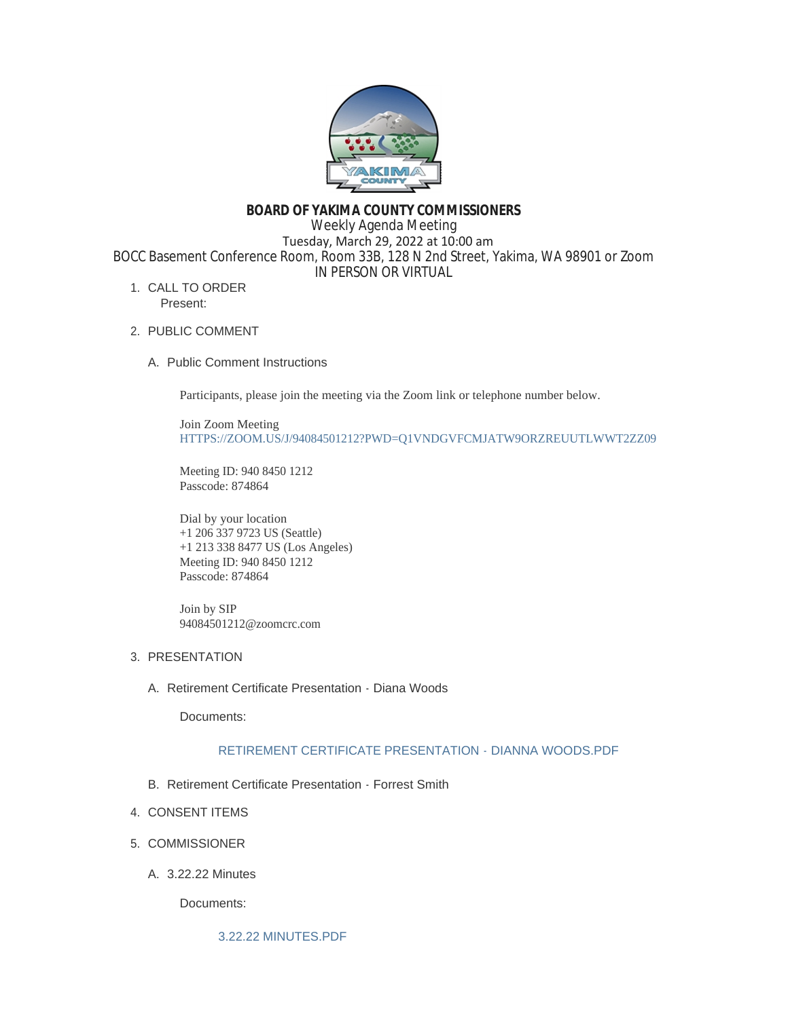

# **BOARD OF YAKIMA COUNTY COMMISSIONERS** Weekly Agenda Meeting Tuesday, March 29, 2022 at 10:00 am BOCC Basement Conference Room, Room 33B, 128 N 2nd Street, Yakima, WA 98901 or Zoom IN PERSON OR VIRTUAL

- 1. CALL TO ORDER Present:
- 2. PUBLIC COMMENT
	- A. Public Comment Instructions

Participants, please join the meeting via the Zoom link or telephone number below.

Join Zoom Meeting [HTTPS://ZOOM.US/J/94084501212?PWD=Q1VNDGVFCMJATW9ORZREUUTLWWT2ZZ09](https://zoom.us/j/94084501212?pwd=Q1VNdGVFcmJaTW9ORzREUUtlWWt2Zz09)

Meeting ID: 940 8450 1212 Passcode: 874864

Dial by your location +1 206 337 9723 US (Seattle) +1 213 338 8477 US (Los Angeles) Meeting ID: 940 8450 1212 Passcode: 874864

Join by SIP 94084501212@zoomcrc.com

# 3. PRESENTATION

A. Retirement Certificate Presentation - Diana Woods

Documents:

## [RETIREMENT CERTIFICATE PRESENTATION - DIANNA WOODS.PDF](https://www.yakimacounty.us/AgendaCenter/ViewFile/Item/4082?fileID=16043)

- B. Retirement Certificate Presentation Forrest Smith
- 4. CONSENT ITEMS
- 5. COMMISSIONER
	- 3.22.22 Minutes A.

Documents: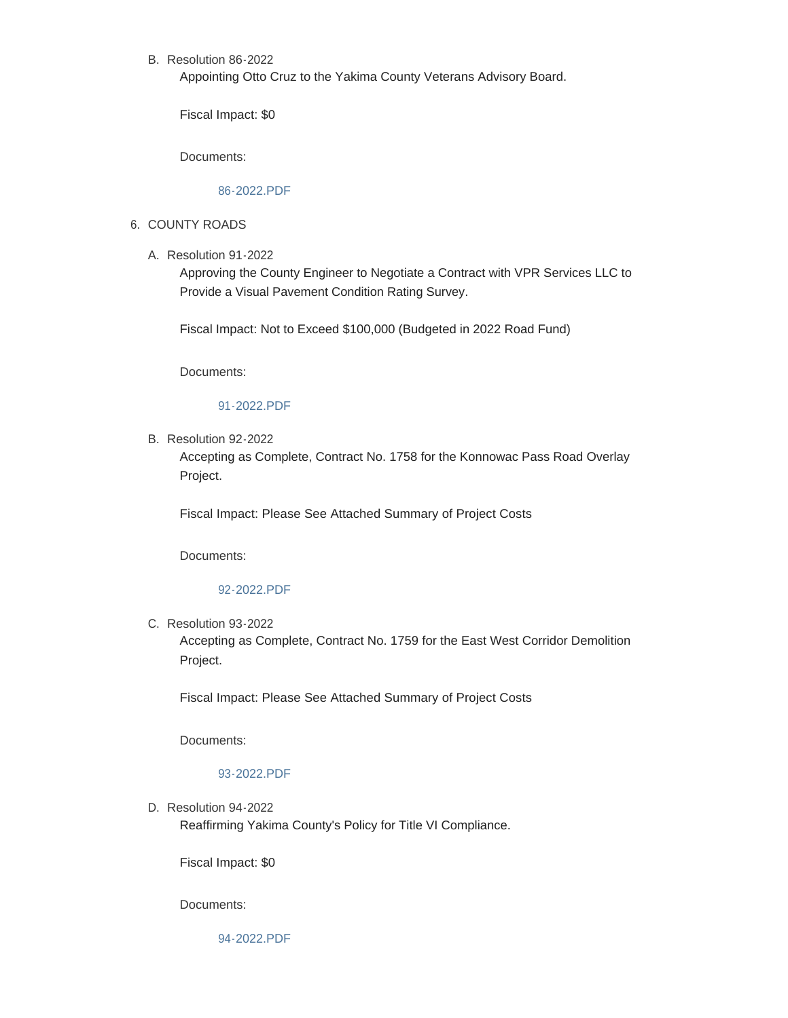# B. Resolution 86-2022

Appointing Otto Cruz to the Yakima County Veterans Advisory Board.

Fiscal Impact: \$0

Documents:

## [86-2022.PDF](https://www.yakimacounty.us/AgendaCenter/ViewFile/Item/4055?fileID=16027)

## 6. COUNTY ROADS

Resolution 91-2022 A.

Approving the County Engineer to Negotiate a Contract with VPR Services LLC to Provide a Visual Pavement Condition Rating Survey.

Fiscal Impact: Not to Exceed \$100,000 (Budgeted in 2022 Road Fund)

Documents:

## [91-2022.PDF](https://www.yakimacounty.us/AgendaCenter/ViewFile/Item/4076?fileID=16037)

B. Resolution 92-2022

Accepting as Complete, Contract No. 1758 for the Konnowac Pass Road Overlay Project.

Fiscal Impact: Please See Attached Summary of Project Costs

Documents:

#### [92-2022.PDF](https://www.yakimacounty.us/AgendaCenter/ViewFile/Item/4077?fileID=16038)

C. Resolution 93-2022

Accepting as Complete, Contract No. 1759 for the East West Corridor Demolition Project.

Fiscal Impact: Please See Attached Summary of Project Costs

Documents:

## [93-2022.PDF](https://www.yakimacounty.us/AgendaCenter/ViewFile/Item/4078?fileID=16039)

D. Resolution 94-2022 Reaffirming Yakima County's Policy for Title VI Compliance.

Fiscal Impact: \$0

Documents:

[94-2022.PDF](https://www.yakimacounty.us/AgendaCenter/ViewFile/Item/4079?fileID=16040)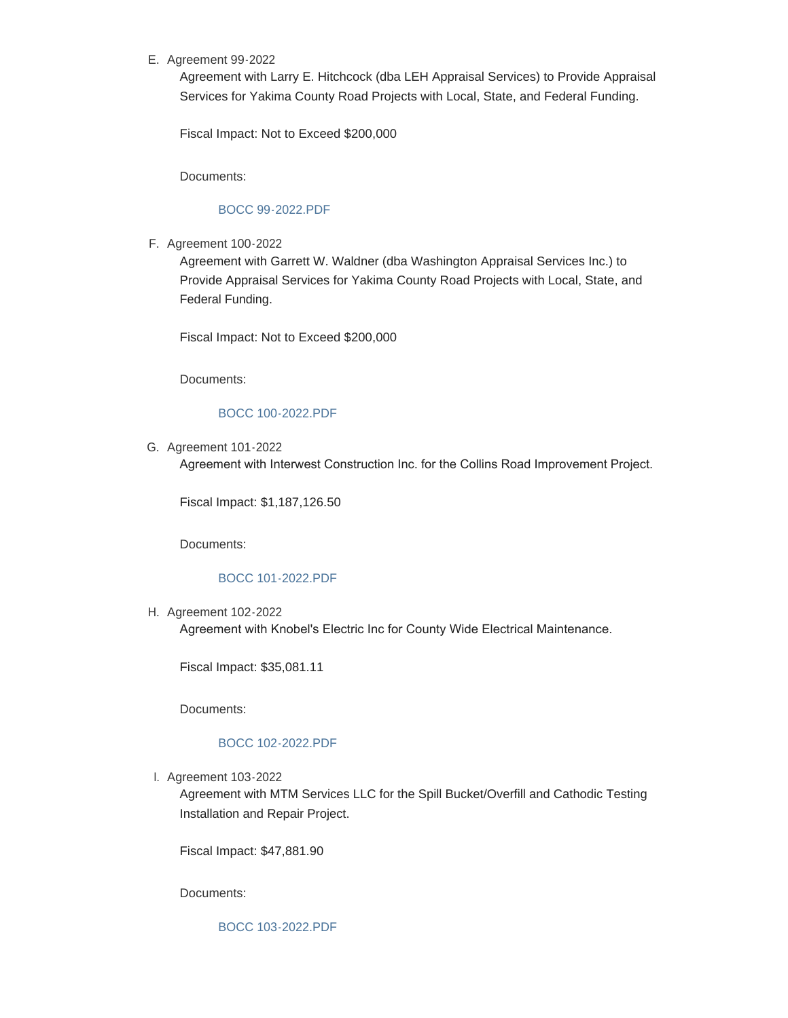# E. Agreement 99-2022

Agreement with Larry E. Hitchcock (dba LEH Appraisal Services) to Provide Appraisal Services for Yakima County Road Projects with Local, State, and Federal Funding.

Fiscal Impact: Not to Exceed \$200,000

Documents:

## [BOCC 99-2022.PDF](https://www.yakimacounty.us/AgendaCenter/ViewFile/Item/4080?fileID=16041)

Agreement 100-2022 F.

Agreement with Garrett W. Waldner (dba Washington Appraisal Services Inc.) to Provide Appraisal Services for Yakima County Road Projects with Local, State, and Federal Funding.

Fiscal Impact: Not to Exceed \$200,000

Documents:

# [BOCC 100-2022.PDF](https://www.yakimacounty.us/AgendaCenter/ViewFile/Item/4081?fileID=16042)

G. Agreement 101-2022

Agreement with Interwest Construction Inc. for the Collins Road Improvement Project.

Fiscal Impact: \$1,187,126.50

Documents:

## [BOCC 101-2022.PDF](https://www.yakimacounty.us/AgendaCenter/ViewFile/Item/4085?fileID=16045)

H. Agreement 102-2022

Agreement with Knobel's Electric Inc for County Wide Electrical Maintenance.

Fiscal Impact: \$35,081.11

Documents:

# [BOCC 102-2022.PDF](https://www.yakimacounty.us/AgendaCenter/ViewFile/Item/4086?fileID=16046)

Agreement 103-2022 I.

Agreement with MTM Services LLC for the Spill Bucket/Overfill and Cathodic Testing Installation and Repair Project.

Fiscal Impact: \$47,881.90

Documents:

[BOCC 103-2022.PDF](https://www.yakimacounty.us/AgendaCenter/ViewFile/Item/4087?fileID=16047)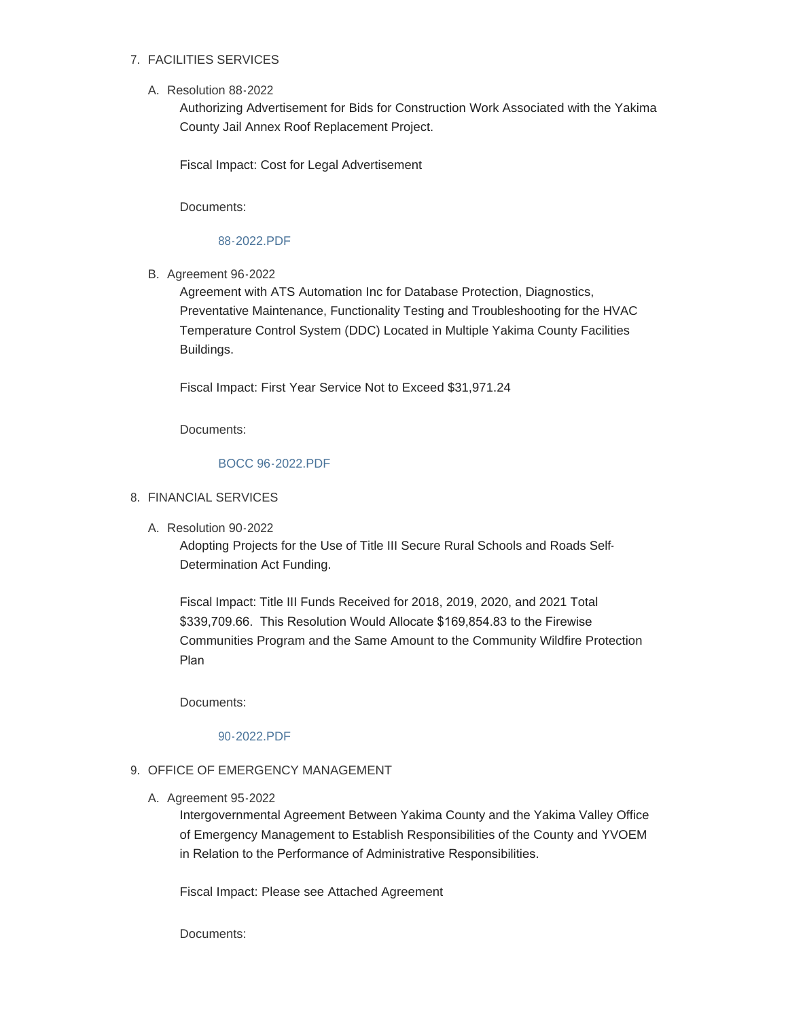# FACILITIES SERVICES 7.

Resolution 88-2022 A.

Authorizing Advertisement for Bids for Construction Work Associated with the Yakima County Jail Annex Roof Replacement Project.

Fiscal Impact: Cost for Legal Advertisement

Documents:

#### [88-2022.PDF](https://www.yakimacounty.us/AgendaCenter/ViewFile/Item/4056?fileID=16028)

B. Agreement 96-2022

Agreement with ATS Automation Inc for Database Protection, Diagnostics, Preventative Maintenance, Functionality Testing and Troubleshooting for the HVAC Temperature Control System (DDC) Located in Multiple Yakima County Facilities Buildings.

Fiscal Impact: First Year Service Not to Exceed \$31,971.24

Documents:

#### [BOCC 96-2022.PDF](https://www.yakimacounty.us/AgendaCenter/ViewFile/Item/4057?fileID=16029)

#### FINANCIAL SERVICES 8.

A. Resolution 90-2022

Adopting Projects for the Use of Title III Secure Rural Schools and Roads Self-Determination Act Funding.

Fiscal Impact: Title III Funds Received for 2018, 2019, 2020, and 2021 Total \$339,709.66. This Resolution Would Allocate \$169,854.83 to the Firewise Communities Program and the Same Amount to the Community Wildfire Protection Plan

Documents:

[90-2022.PDF](https://www.yakimacounty.us/AgendaCenter/ViewFile/Item/4058?fileID=16030)

## 9. OFFICE OF EMERGENCY MANAGEMENT

A. Agreement 95-2022

Intergovernmental Agreement Between Yakima County and the Yakima Valley Office of Emergency Management to Establish Responsibilities of the County and YVOEM in Relation to the Performance of Administrative Responsibilities.

Fiscal Impact: Please see Attached Agreement

Documents: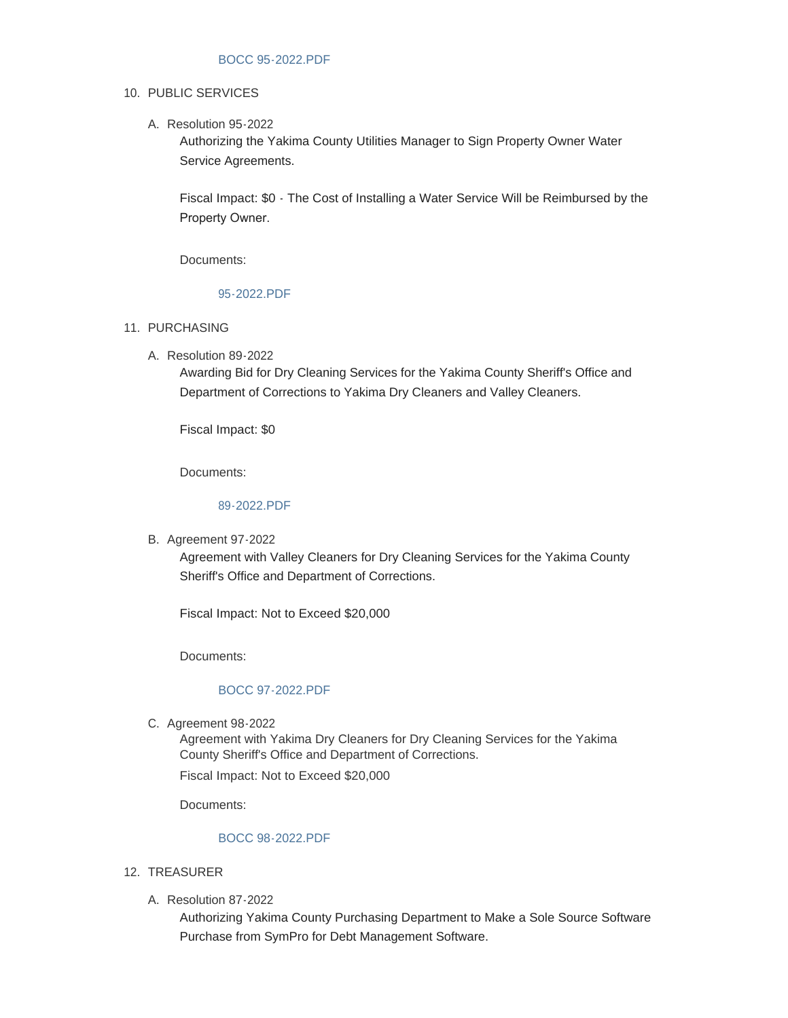## 10. PUBLIC SERVICES

A. Resolution 95-2022

Authorizing the Yakima County Utilities Manager to Sign Property Owner Water Service Agreements.

Fiscal Impact: \$0 - The Cost of Installing a Water Service Will be Reimbursed by the Property Owner.

Documents:

# [95-2022.PDF](https://www.yakimacounty.us/AgendaCenter/ViewFile/Item/4084?fileID=16044)

- 11. PURCHASING
	- Resolution 89-2022 A.

Awarding Bid for Dry Cleaning Services for the Yakima County Sheriff's Office and Department of Corrections to Yakima Dry Cleaners and Valley Cleaners.

Fiscal Impact: \$0

Documents:

# [89-2022.PDF](https://www.yakimacounty.us/AgendaCenter/ViewFile/Item/4060?fileID=16032)

**B.** Agreement 97-2022

Agreement with Valley Cleaners for Dry Cleaning Services for the Yakima County Sheriff's Office and Department of Corrections.

Fiscal Impact: Not to Exceed \$20,000

Documents:

# [BOCC 97-2022.PDF](https://www.yakimacounty.us/AgendaCenter/ViewFile/Item/4075?fileID=16036)

C. Agreement 98-2022

Agreement with Yakima Dry Cleaners for Dry Cleaning Services for the Yakima County Sheriff's Office and Department of Corrections.

Fiscal Impact: Not to Exceed \$20,000

Documents:

## [BOCC 98-2022.PDF](https://www.yakimacounty.us/AgendaCenter/ViewFile/Item/4062?fileID=16035)

# 12. TREASURER

Resolution 87-2022 A.

Authorizing Yakima County Purchasing Department to Make a Sole Source Software Purchase from SymPro for Debt Management Software.